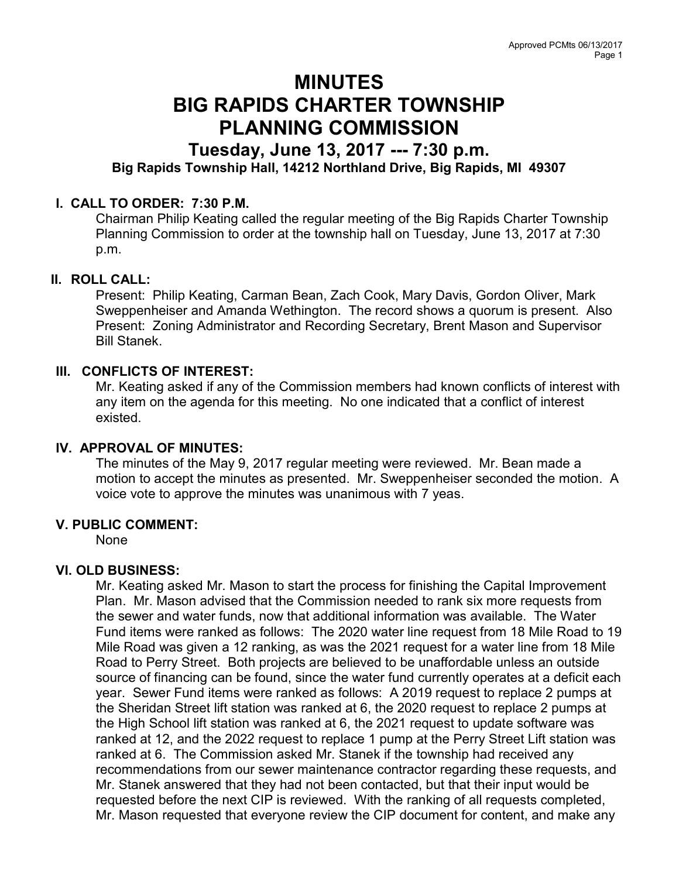# MINUTES BIG RAPIDS CHARTER TOWNSHIP PLANNING COMMISSION

## Tuesday, June 13, 2017 --- 7:30 p.m. Big Rapids Township Hall, 14212 Northland Drive, Big Rapids, MI 49307

### I. CALL TO ORDER: 7:30 P.M.

Chairman Philip Keating called the regular meeting of the Big Rapids Charter Township Planning Commission to order at the township hall on Tuesday, June 13, 2017 at 7:30 p.m.

#### II. ROLL CALL:

Present: Philip Keating, Carman Bean, Zach Cook, Mary Davis, Gordon Oliver, Mark Sweppenheiser and Amanda Wethington. The record shows a quorum is present. Also Present: Zoning Administrator and Recording Secretary, Brent Mason and Supervisor Bill Stanek.

#### III. CONFLICTS OF INTEREST:

Mr. Keating asked if any of the Commission members had known conflicts of interest with any item on the agenda for this meeting. No one indicated that a conflict of interest existed.

#### IV. APPROVAL OF MINUTES:

The minutes of the May 9, 2017 regular meeting were reviewed. Mr. Bean made a motion to accept the minutes as presented. Mr. Sweppenheiser seconded the motion. A voice vote to approve the minutes was unanimous with 7 yeas.

#### V. PUBLIC COMMENT:

None

#### VI. OLD BUSINESS:

Mr. Keating asked Mr. Mason to start the process for finishing the Capital Improvement Plan. Mr. Mason advised that the Commission needed to rank six more requests from the sewer and water funds, now that additional information was available. The Water Fund items were ranked as follows: The 2020 water line request from 18 Mile Road to 19 Mile Road was given a 12 ranking, as was the 2021 request for a water line from 18 Mile Road to Perry Street. Both projects are believed to be unaffordable unless an outside source of financing can be found, since the water fund currently operates at a deficit each year. Sewer Fund items were ranked as follows: A 2019 request to replace 2 pumps at the Sheridan Street lift station was ranked at 6, the 2020 request to replace 2 pumps at the High School lift station was ranked at 6, the 2021 request to update software was ranked at 12, and the 2022 request to replace 1 pump at the Perry Street Lift station was ranked at 6. The Commission asked Mr. Stanek if the township had received any recommendations from our sewer maintenance contractor regarding these requests, and Mr. Stanek answered that they had not been contacted, but that their input would be requested before the next CIP is reviewed. With the ranking of all requests completed, Mr. Mason requested that everyone review the CIP document for content, and make any